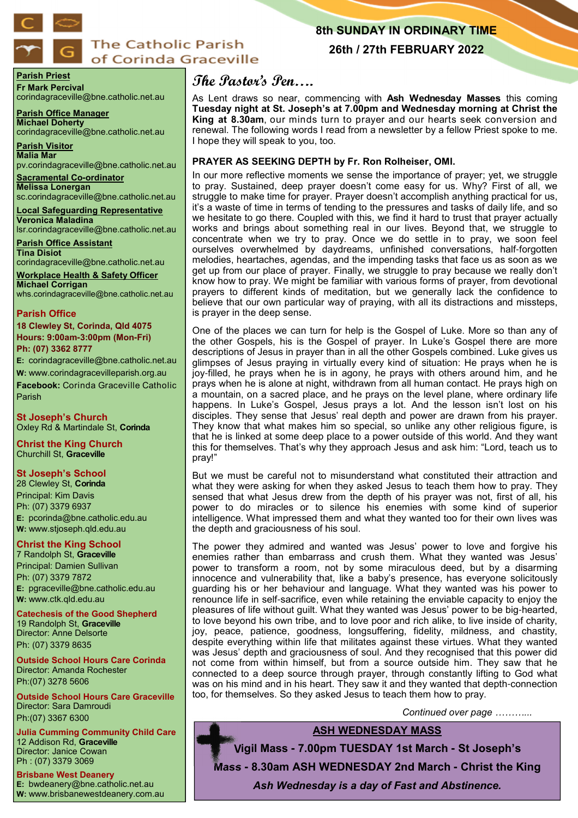

## **The Catholic Parish** of Corinda Graceville

# **8th SUNDAY IN ORDINARY TIME**

**26th / 27th FEBRUARY 2022**

#### **Parish Priest Fr Mark Percival** corindagraceville@bne.catholic.net.au

**Parish Office Manager Michael Doherty** corindagraceville@bne.catholic.net.au

**Parish Visitor Malia Mar**  pv.corindagraceville@bne.catholic.net.au

**Sacramental Co-ordinator Melissa Lonergan**  sc.corindagraceville@bne.catholic.net.au

**Local Safeguarding Representative Veronica Maladina** lsr.corindagraceville@bne.catholic.net.au

**Parish Office Assistant Tina Disiot**  corindagraceville@bne.catholic.net.au

**Workplace Health & Safety Officer Michael Corrigan** whs.corindagraceville@bne.catholic.net.au

#### **Parish Office**

**18 Clewley St, Corinda, Qld 4075 Hours: 9:00am-3:00pm (Mon-Fri) Ph: (07) 3362 8777**

**E:** corindagraceville@bne.catholic.net.au **W:** www.corindagracevilleparish.org.au **Facebook:** Corinda Graceville Catholic Parish

**St Joseph's Church** Oxley Rd & Martindale St, **Corinda**

**Christ the King Church** Churchill St, **Graceville**

#### **St Joseph's School**

28 Clewley St, **Corinda** Principal: Kim Davis Ph: (07) 3379 6937 **E:** pcorinda@bne.catholic.edu.au **W:** www.stjoseph.qld.edu.au

### **Christ the King School**

7 Randolph St, **Graceville** Principal: Damien Sullivan Ph: (07) 3379 7872 **E:** pgraceville@bne.catholic.edu.au **W:** www.ctk.qld.edu.au

**Catechesis of the Good Shepherd**  19 Randolph St, **Graceville**  Director: Anne Delsorte Ph: (07) 3379 8635

**Outside School Hours Care Corinda**  Director: Amanda Rochester Ph:(07) 3278 5606

**Outside School Hours Care Graceville**  Director: Sara Damroudi Ph:(07) 3367 6300

**Julia Cumming Community Child Care**  12 Addison Rd, **Graceville**  Director: Janice Cowan Ph : (07) 3379 3069

**Brisbane West Deanery E:** bwdeanery@bne.catholic.net.au **W:** www.brisbanewestdeanery.com.au

# **The Pastor's Pen….**

As Lent draws so near, commencing with **Ash Wednesday Masses** this coming **Tuesday night at St. Joseph's at 7.00pm and Wednesday morning at Christ the King at 8.30am**, our minds turn to prayer and our hearts seek conversion and renewal. The following words I read from a newsletter by a fellow Priest spoke to me. I hope they will speak to you, too.

## **PRAYER AS SEEKING DEPTH by Fr. Ron Rolheiser, OMI.**

In our more reflective moments we sense the importance of prayer; yet, we struggle to pray. Sustained, deep prayer doesn't come easy for us. Why? First of all, we struggle to make time for prayer. Prayer doesn't accomplish anything practical for us, it's a waste of time in terms of tending to the pressures and tasks of daily life, and so we hesitate to go there. Coupled with this, we find it hard to trust that prayer actually works and brings about something real in our lives. Beyond that, we struggle to concentrate when we try to pray. Once we do settle in to pray, we soon feel ourselves overwhelmed by daydreams, unfinished conversations, half-forgotten melodies, heartaches, agendas, and the impending tasks that face us as soon as we get up from our place of prayer. Finally, we struggle to pray because we really don't know how to pray. We might be familiar with various forms of prayer, from devotional prayers to different kinds of meditation, but we generally lack the confidence to believe that our own particular way of praying, with all its distractions and missteps, is prayer in the deep sense.

One of the places we can turn for help is the Gospel of Luke. More so than any of the other Gospels, his is the Gospel of prayer. In Luke's Gospel there are more descriptions of Jesus in prayer than in all the other Gospels combined. Luke gives us glimpses of Jesus praying in virtually every kind of situation: He prays when he is joy-filled, he prays when he is in agony, he prays with others around him, and he prays when he is alone at night, withdrawn from all human contact. He prays high on a mountain, on a sacred place, and he prays on the level plane, where ordinary life happens. In Luke's Gospel, Jesus prays a lot. And the lesson isn't lost on his disciples. They sense that Jesus' real depth and power are drawn from his prayer. They know that what makes him so special, so unlike any other religious figure, is that he is linked at some deep place to a power outside of this world. And they want this for themselves. That's why they approach Jesus and ask him: "Lord, teach us to pray!"

But we must be careful not to misunderstand what constituted their attraction and what they were asking for when they asked Jesus to teach them how to pray. They sensed that what Jesus drew from the depth of his prayer was not, first of all, his power to do miracles or to silence his enemies with some kind of superior intelligence. What impressed them and what they wanted too for their own lives was the depth and graciousness of his soul.

The power they admired and wanted was Jesus' power to love and forgive his enemies rather than embarrass and crush them. What they wanted was Jesus' power to transform a room, not by some miraculous deed, but by a disarming innocence and vulnerability that, like a baby's presence, has everyone solicitously guarding his or her behaviour and language. What they wanted was his power to renounce life in self-sacrifice, even while retaining the enviable capacity to enjoy the pleasures of life without guilt. What they wanted was Jesus' power to be big-hearted, to love beyond his own tribe, and to love poor and rich alike, to live inside of charity, joy, peace, patience, goodness, longsuffering, fidelity, mildness, and chastity, despite everything within life that militates against these virtues. What they wanted was Jesus' depth and graciousness of soul. And they recognised that this power did not come from within himself, but from a source outside him. They saw that he connected to a deep source through prayer, through constantly lifting to God what was on his mind and in his heart. They saw it and they wanted that depth-connection too, for themselves. So they asked Jesus to teach them how to pray.

*Continued over page ………...*

**ASH WEDNESDAY MASS Vigil Mass - 7.00pm TUESDAY 1st March - St Joseph's Mass - 8.30am ASH WEDNESDAY 2nd March - Christ the King** *Ash Wednesday is a day of Fast and Abstinence.*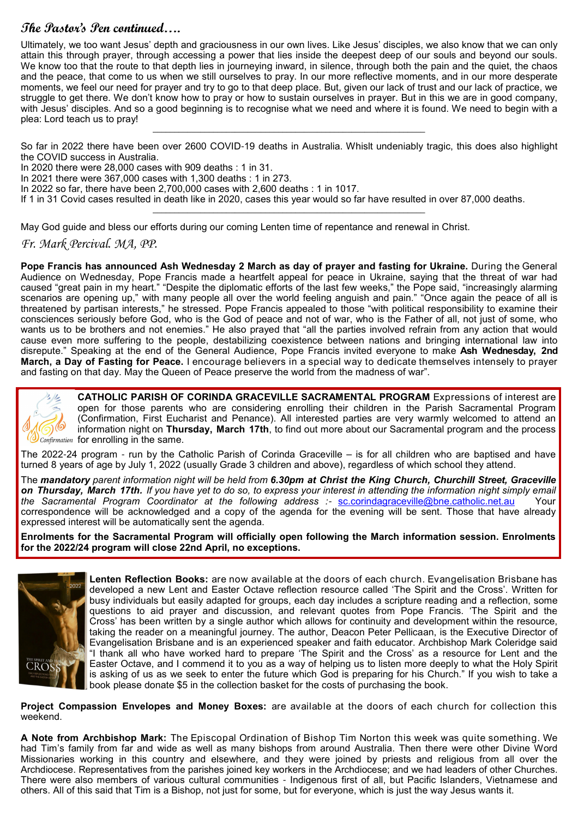## **The Pastor's Pen continued….**

Ultimately, we too want Jesus' depth and graciousness in our own lives. Like Jesus' disciples, we also know that we can only attain this through prayer, through accessing a power that lies inside the deepest deep of our souls and beyond our souls. We know too that the route to that depth lies in journeying inward, in silence, through both the pain and the quiet, the chaos and the peace, that come to us when we still ourselves to pray. In our more reflective moments, and in our more desperate moments, we feel our need for prayer and try to go to that deep place. But, given our lack of trust and our lack of practice, we struggle to get there. We don't know how to pray or how to sustain ourselves in prayer. But in this we are in good company, with Jesus' disciples. And so a good beginning is to recognise what we need and where it is found. We need to begin with a plea: Lord teach us to pray!

So far in 2022 there have been over 2600 COVID-19 deaths in Australia. Whislt undeniably tragic, this does also highlight the COVID success in Australia.

\_\_\_\_\_\_\_\_\_\_\_\_\_\_\_\_\_\_\_\_\_\_\_\_\_\_\_\_\_\_\_\_\_\_\_\_\_\_\_\_\_\_\_\_\_\_\_\_\_\_\_\_\_\_\_\_\_\_\_\_\_\_\_

In 2020 there were 28,000 cases with 909 deaths : 1 in 31.

In 2021 there were 367,000 cases with 1,300 deaths : 1 in 273.

In 2022 so far, there have been 2,700,000 cases with 2,600 deaths : 1 in 1017.

If 1 in 31 Covid cases resulted in death like in 2020, cases this year would so far have resulted in over 87,000 deaths.

\_\_\_\_\_\_\_\_\_\_\_\_\_\_\_\_\_\_\_\_\_\_\_\_\_\_\_\_\_\_\_\_\_\_\_\_\_\_\_\_\_\_\_\_\_\_\_\_\_\_\_\_\_\_\_\_\_\_\_\_\_\_\_

May God guide and bless our efforts during our coming Lenten time of repentance and renewal in Christ.

*Fr. Mark Percival. MA, PP.* 

**Pope Francis has announced Ash Wednesday 2 March as day of prayer and fasting for Ukraine.** During the General Audience on Wednesday, Pope Francis made a heartfelt appeal for peace in Ukraine, saying that the threat of war had caused "great pain in my heart." "Despite the diplomatic efforts of the last few weeks," the Pope said, "increasingly alarming scenarios are opening up," with many people all over the world feeling anguish and pain." "Once again the peace of all is threatened by partisan interests," he stressed. Pope Francis appealed to those "with political responsibility to examine their consciences seriously before God, who is the God of peace and not of war, who is the Father of all, not just of some, who wants us to be brothers and not enemies." He also prayed that "all the parties involved refrain from any action that would cause even more suffering to the people, destabilizing coexistence between nations and bringing international law into disrepute." Speaking at the end of the General Audience, Pope Francis invited everyone to make **Ash Wednesday, 2nd March, a Day of Fasting for Peace.** I encourage believers in a special way to dedicate themselves intensely to prayer and fasting on that day. May the Queen of Peace preserve the world from the madness of war".



**CATHOLIC PARISH OF CORINDA GRACEVILLE SACRAMENTAL PROGRAM** Expressions of interest are open for those parents who are considering enrolling their children in the Parish Sacramental Program (Confirmation, First Eucharist and Penance). All interested parties are very warmly welcomed to attend an information night on **Thursday, March 17th**, to find out more about our Sacramental program and the process  $\bigcirc$  Confirmation for enrolling in the same.

The 2022-24 program - run by the Catholic Parish of Corinda Graceville – is for all children who are baptised and have turned 8 years of age by July 1, 2022 (usually Grade 3 children and above), regardless of which school they attend.

The *mandatory parent information night will be held from 6.30pm at Christ the King Church, Churchill Street, Graceville on Thursday, March 17th. If you have yet to do so, to express your interest in attending the information night simply email the Sacramental Program Coordinator at the following address :*- sc.corindagraceville@bne.catholic.net.auYour correspondence will be acknowledged and a copy of the agenda for the evening will be sent. Those that have already expressed interest will be automatically sent the agenda.

**Enrolments for the Sacramental Program will officially open following the March information session. Enrolments for the 2022/24 program will close 22nd April, no exceptions.**



**Lenten Reflection Books:** are now available at the doors of each church. Evangelisation Brisbane has developed a new Lent and Easter Octave reflection resource called 'The Spirit and the Cross'. Written for busy individuals but easily adapted for groups, each day includes a scripture reading and a reflection, some questions to aid prayer and discussion, and relevant quotes from Pope Francis. 'The Spirit and the Cross' has been written by a single author which allows for continuity and development within the resource, taking the reader on a meaningful journey. The author, Deacon Peter Pellicaan, is the Executive Director of Evangelisation Brisbane and is an experienced speaker and faith educator. Archbishop Mark Coleridge said "I thank all who have worked hard to prepare 'The Spirit and the Cross' as a resource for Lent and the Easter Octave, and I commend it to you as a way of helping us to listen more deeply to what the Holy Spirit is asking of us as we seek to enter the future which God is preparing for his Church." If you wish to take a book please donate \$5 in the collection basket for the costs of purchasing the book.

**Project Compassion Envelopes and Money Boxes:** are available at the doors of each church for collection this weekend.

**A Note from Archbishop Mark:** The Episcopal Ordination of Bishop Tim Norton this week was quite something. We had Tim's family from far and wide as well as many bishops from around Australia. Then there were other Divine Word Missionaries working in this country and elsewhere, and they were joined by priests and religious from all over the Archdiocese. Representatives from the parishes joined key workers in the Archdiocese; and we had leaders of other Churches. There were also members of various cultural communities - Indigenous first of all, but Pacific Islanders, Vietnamese and others. All of this said that Tim is a Bishop, not just for some, but for everyone, which is just the way Jesus wants it.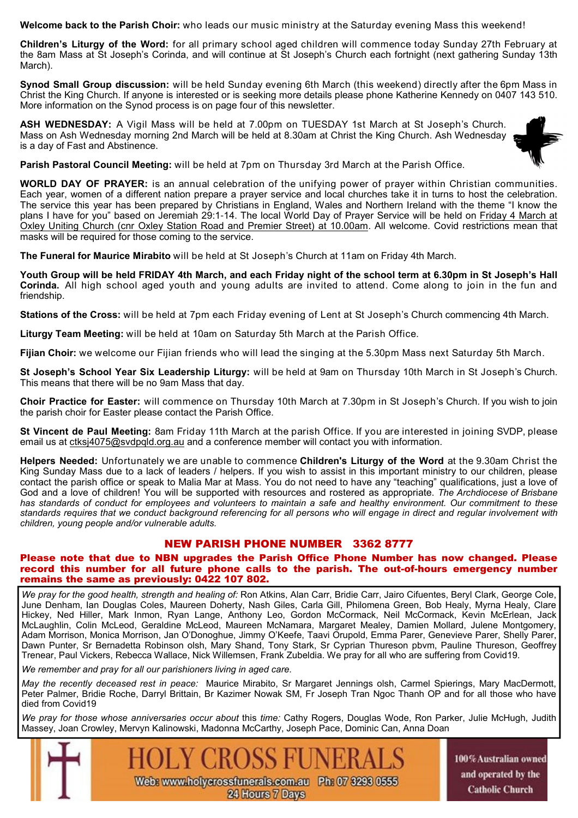**Welcome back to the Parish Choir:** who leads our music ministry at the Saturday evening Mass this weekend!

**Children's Liturgy of the Word:** for all primary school aged children will commence today Sunday 27th February at the 8am Mass at St Joseph's Corinda, and will continue at St Joseph's Church each fortnight (next gathering Sunday 13th March).

**Synod Small Group discussion:** will be held Sunday evening 6th March (this weekend) directly after the 6pm Mass in Christ the King Church. If anyone is interested or is seeking more details please phone Katherine Kennedy on 0407 143 510. More information on the Synod process is on page four of this newsletter.

**ASH WEDNESDAY:** A Vigil Mass will be held at 7.00pm on TUESDAY 1st March at St Joseph's Church. Mass on Ash Wednesday morning 2nd March will be held at 8.30am at Christ the King Church. Ash Wednesday is a day of Fast and Abstinence.



**WORLD DAY OF PRAYER:** is an annual celebration of the unifying power of prayer within Christian communities. Each year, women of a different nation prepare a prayer service and local churches take it in turns to host the celebration. The service this year has been prepared by Christians in England, Wales and Northern Ireland with the theme "I know the plans I have for you" based on Jeremiah 29:1-14. The local World Day of Prayer Service will be held on Friday 4 March at Oxley Uniting Church (cnr Oxley Station Road and Premier Street) at 10.00am. All welcome. Covid restrictions mean that masks will be required for those coming to the service.

**The Funeral for Maurice Mirabito** will be held at St Joseph's Church at 11am on Friday 4th March.

**Youth Group will be held FRIDAY 4th March, and each Friday night of the school term at 6.30pm in St Joseph's Hall Corinda.** All high school aged youth and young adults are invited to attend. Come along to join in the fun and friendship.

**Stations of the Cross:** will be held at 7pm each Friday evening of Lent at St Joseph's Church commencing 4th March.

**Liturgy Team Meeting:** will be held at 10am on Saturday 5th March at the Parish Office.

**Fijian Choir:** we welcome our Fijian friends who will lead the singing at the 5.30pm Mass next Saturday 5th March.

**St Joseph's School Year Six Leadership Liturgy:** will be held at 9am on Thursday 10th March in St Joseph's Church. This means that there will be no 9am Mass that day.

**Choir Practice for Easter:** will commence on Thursday 10th March at 7.30pm in St Joseph's Church. If you wish to join the parish choir for Easter please contact the Parish Office.

**St Vincent de Paul Meeting:** 8am Friday 11th March at the parish Office. If you are interested in joining SVDP, please email us at ctksj4075@svdpqld.org.au and a conference member will contact you with information.

**Helpers Needed:** Unfortunately we are unable to commence **Children's Liturgy of the Word** at the 9.30am Christ the King Sunday Mass due to a lack of leaders / helpers. If you wish to assist in this important ministry to our children, please contact the parish office or speak to Malia Mar at Mass. You do not need to have any "teaching" qualifications, just a love of God and a love of children! You will be supported with resources and rostered as appropriate. *The Archdiocese of Brisbane has standards of conduct for employees and volunteers to maintain a safe and healthy environment. Our commitment to these standards requires that we conduct background referencing for all persons who will engage in direct and regular involvement with children, young people and/or vulnerable adults.* 

## NEW PARISH PHONE NUMBER 3362 8777

#### Please note that due to NBN upgrades the Parish Office Phone Number has now changed. Please record this number for all future phone calls to the parish. The out-of-hours emergency number remains the same as previously: 0422 107 802.

*We pray for the good health, strength and healing of:* Ron Atkins, Alan Carr, Bridie Carr, Jairo Cifuentes, Beryl Clark, George Cole, June Denham, Ian Douglas Coles, Maureen Doherty, Nash Giles, Carla Gill, Philomena Green, Bob Healy, Myrna Healy, Clare Hickey, Ned Hiller, Mark Inmon, Ryan Lange, Anthony Leo, Gordon McCormack, Neil McCormack, Kevin McErlean, Jack McLaughlin, Colin McLeod, Geraldine McLeod, Maureen McNamara, Margaret Mealey, Damien Mollard, Julene Montgomery, Adam Morrison, Monica Morrison, Jan O'Donoghue, Jimmy O'Keefe, Taavi Orupold, Emma Parer, Genevieve Parer, Shelly Parer, Dawn Punter, Sr Bernadetta Robinson olsh, Mary Shand, Tony Stark, Sr Cyprian Thureson pbvm, Pauline Thureson, Geoffrey Trenear, Paul Vickers, Rebecca Wallace, Nick Willemsen, Frank Zubeldia. We pray for all who are suffering from Covid19.

*We remember and pray for all our parishioners living in aged care.* 

*May the recently deceased rest in peace:* Maurice Mirabito, Sr Margaret Jennings olsh, Carmel Spierings, Mary MacDermott, Peter Palmer, Bridie Roche, Darryl Brittain, Br Kazimer Nowak SM, Fr Joseph Tran Ngoc Thanh OP and for all those who have died from Covid19

*We pray for those whose anniversaries occur about* this *time:* Cathy Rogers, Douglas Wode, Ron Parker, Julie McHugh, Judith Massey, Joan Crowley, Mervyn Kalinowski, Madonna McCarthy, Joseph Pace, Dominic Can, Anna Doan



100% Australian owned and operated by the **Catholic Church**